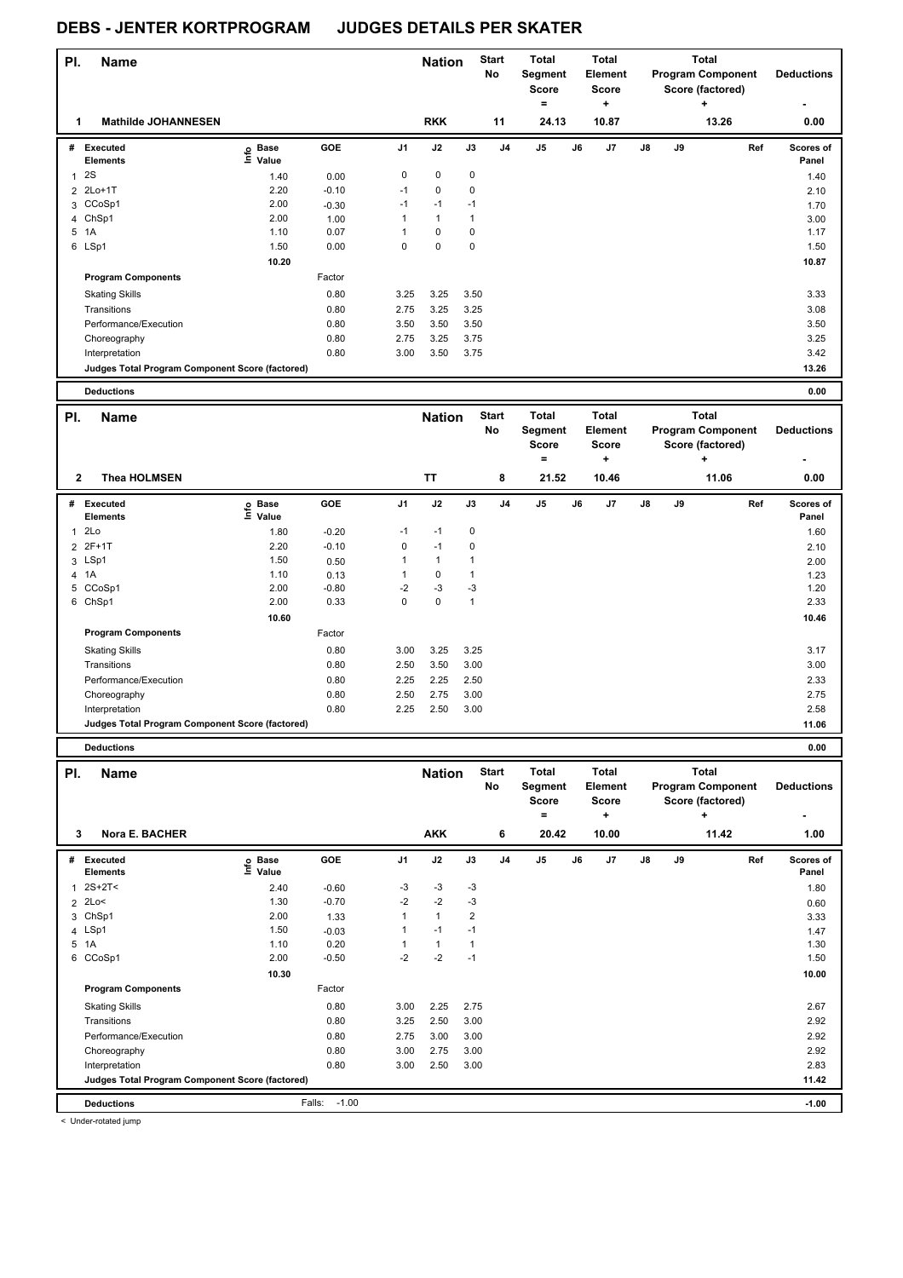| PI.            | Name                                            |                           |                    |              | <b>Nation</b> |              | <b>Start</b><br><b>No</b> | <b>Total</b><br>Segment<br>Score<br>$=$ |    | <b>Total</b><br><b>Element</b><br><b>Score</b><br>$\ddot{}$ |    | <b>Program Component</b> | <b>Total</b><br>$\ddot{}$ | Score (factored) |     | <b>Deductions</b>         |
|----------------|-------------------------------------------------|---------------------------|--------------------|--------------|---------------|--------------|---------------------------|-----------------------------------------|----|-------------------------------------------------------------|----|--------------------------|---------------------------|------------------|-----|---------------------------|
| 1              | <b>Mathilde JOHANNESEN</b>                      |                           |                    |              | <b>RKK</b>    |              | 11                        | 24.13                                   |    | 10.87                                                       |    |                          |                           | 13.26            |     | 0.00                      |
| #              | Executed<br><b>Elements</b>                     | ၉ Base<br>$\bar{E}$ Value | GOE                | J1           | J2            | J3           | J <sub>4</sub>            | $\mathsf{J}5$                           | J6 | J7                                                          | J8 | J9                       |                           |                  | Ref | <b>Scores of</b><br>Panel |
| $\mathbf{1}$   | 2S                                              | 1.40                      | 0.00               | $\mathbf 0$  | $\pmb{0}$     | 0            |                           |                                         |    |                                                             |    |                          |                           |                  |     | 1.40                      |
|                | 2 2Lo+1T                                        | 2.20                      | $-0.10$            | $-1$         | $\pmb{0}$     | $\mathbf 0$  |                           |                                         |    |                                                             |    |                          |                           |                  |     | 2.10                      |
| 3              | CCoSp1                                          | 2.00                      | $-0.30$            | $-1$         | $-1$          | $-1$         |                           |                                         |    |                                                             |    |                          |                           |                  |     | 1.70                      |
|                | 4 ChSp1                                         | 2.00                      | 1.00               | $\mathbf{1}$ | $\mathbf{1}$  | $\mathbf{1}$ |                           |                                         |    |                                                             |    |                          |                           |                  |     | 3.00                      |
| 5              | 1A                                              | 1.10                      | 0.07               | $\mathbf{1}$ | $\pmb{0}$     | $\mathbf 0$  |                           |                                         |    |                                                             |    |                          |                           |                  |     | 1.17                      |
|                | 6 LSp1                                          | 1.50                      | 0.00               | $\Omega$     | $\mathbf 0$   | $\mathbf 0$  |                           |                                         |    |                                                             |    |                          |                           |                  |     | 1.50                      |
|                |                                                 | 10.20                     |                    |              |               |              |                           |                                         |    |                                                             |    |                          |                           |                  |     | 10.87                     |
|                | <b>Program Components</b>                       |                           | Factor             |              |               |              |                           |                                         |    |                                                             |    |                          |                           |                  |     |                           |
|                | <b>Skating Skills</b>                           |                           | 0.80               | 3.25         | 3.25          | 3.50         |                           |                                         |    |                                                             |    |                          |                           |                  |     | 3.33                      |
|                | Transitions                                     |                           | 0.80               | 2.75         | 3.25          | 3.25         |                           |                                         |    |                                                             |    |                          |                           |                  |     | 3.08                      |
|                | Performance/Execution                           |                           | 0.80               | 3.50         | 3.50          | 3.50         |                           |                                         |    |                                                             |    |                          |                           |                  |     | 3.50                      |
|                | Choreography                                    |                           | 0.80               | 2.75         | 3.25          | 3.75         |                           |                                         |    |                                                             |    |                          |                           |                  |     | 3.25                      |
|                | Interpretation                                  |                           | 0.80               | 3.00         | 3.50          | 3.75         |                           |                                         |    |                                                             |    |                          |                           |                  |     | 3.42                      |
|                | Judges Total Program Component Score (factored) |                           |                    |              |               |              |                           |                                         |    |                                                             |    |                          |                           |                  |     | 13.26                     |
|                | <b>Deductions</b>                               |                           |                    |              |               |              |                           |                                         |    |                                                             |    |                          |                           |                  |     | 0.00                      |
|                |                                                 |                           |                    |              |               |              |                           |                                         |    |                                                             |    |                          |                           |                  |     |                           |
| PI.            | <b>Name</b>                                     |                           |                    |              | <b>Nation</b> |              | <b>Start</b><br>No        | <b>Total</b><br>Segment<br><b>Score</b> |    | <b>Total</b><br><b>Element</b><br><b>Score</b>              |    | <b>Program Component</b> | <b>Total</b>              | Score (factored) |     | <b>Deductions</b>         |
|                |                                                 |                           |                    |              |               |              |                           | $\equiv$                                |    | ÷.                                                          |    |                          | $\ddot{}$                 |                  |     |                           |
| $\mathbf{2}$   | <b>Thea HOLMSEN</b>                             |                           |                    |              | <b>TT</b>     |              | 8                         | 21.52                                   |    | 10.46                                                       |    |                          |                           | 11.06            |     | 0.00                      |
|                | # Executed                                      |                           | <b>GOE</b>         | J1           | J2            | J3           | J <sub>4</sub>            | J5                                      | J6 | J7                                                          | J8 | J9                       |                           |                  | Ref | Scores of                 |
|                | <b>Elements</b><br>2Lo                          | e Base<br>⊑ Value         |                    | $-1$         | $-1$          | 0            |                           |                                         |    |                                                             |    |                          |                           |                  |     | Panel                     |
| $\mathbf{1}$   | $2F+1T$                                         | 1.80<br>2.20              | $-0.20$<br>$-0.10$ | $\mathbf 0$  | $-1$          | $\mathbf 0$  |                           |                                         |    |                                                             |    |                          |                           |                  |     | 1.60                      |
| $\overline{2}$ | 3 LSp1                                          | 1.50                      | 0.50               | $\mathbf{1}$ | $\mathbf{1}$  | $\mathbf{1}$ |                           |                                         |    |                                                             |    |                          |                           |                  |     | 2.10                      |
| $\overline{4}$ | 1A                                              | 1.10                      | 0.13               | $\mathbf{1}$ | $\pmb{0}$     | $\mathbf{1}$ |                           |                                         |    |                                                             |    |                          |                           |                  |     | 2.00<br>1.23              |
|                | 5 CCoSp1                                        | 2.00                      | $-0.80$            | $-2$         | $-3$          | $-3$         |                           |                                         |    |                                                             |    |                          |                           |                  |     | 1.20                      |
|                | 6 ChSp1                                         | 2.00                      | 0.33               | $\mathbf 0$  | $\mathbf 0$   | $\mathbf{1}$ |                           |                                         |    |                                                             |    |                          |                           |                  |     | 2.33                      |
|                |                                                 | 10.60                     |                    |              |               |              |                           |                                         |    |                                                             |    |                          |                           |                  |     | 10.46                     |
|                | <b>Program Components</b>                       |                           | Factor             |              |               |              |                           |                                         |    |                                                             |    |                          |                           |                  |     |                           |
|                | <b>Skating Skills</b>                           |                           | 0.80               | 3.00         | 3.25          | 3.25         |                           |                                         |    |                                                             |    |                          |                           |                  |     | 3.17                      |
|                | Transitions                                     |                           | 0.80               | 2.50         | 3.50          | 3.00         |                           |                                         |    |                                                             |    |                          |                           |                  |     | 3.00                      |
|                | Performance/Execution                           |                           | 0.80               | 2.25         | 2.25          | 2.50         |                           |                                         |    |                                                             |    |                          |                           |                  |     | 2.33                      |
|                | Choreography                                    |                           | 0.80               | 2.50         | 2.75          | 3.00         |                           |                                         |    |                                                             |    |                          |                           |                  |     | 2.75                      |
|                | Interpretation                                  |                           | 0.80               | 2.25         | 2.50          | 3.00         |                           |                                         |    |                                                             |    |                          |                           |                  |     | 2.58                      |
|                | Judges Total Program Component Score (factored) |                           |                    |              |               |              |                           |                                         |    |                                                             |    |                          |                           |                  |     | 11.06                     |

| PI. | <b>Name</b>                                     |                   |                   |                | <b>Nation</b> |      | <b>Start</b><br>No | <b>Total</b><br>Segment<br><b>Score</b><br>= |    | <b>Total</b><br>Element<br><b>Score</b><br>÷ |               |    | <b>Total</b><br><b>Program Component</b><br>Score (factored)<br>÷ | <b>Deductions</b>  |
|-----|-------------------------------------------------|-------------------|-------------------|----------------|---------------|------|--------------------|----------------------------------------------|----|----------------------------------------------|---------------|----|-------------------------------------------------------------------|--------------------|
| 3   | Nora E. BACHER                                  |                   |                   |                | <b>AKK</b>    |      | 6                  | 20.42                                        |    | 10.00                                        |               |    | 11.42                                                             | 1.00               |
| #   | Executed<br><b>Elements</b>                     | e Base<br>⊆ Value | GOE               | J <sub>1</sub> | J2            | J3   | J <sub>4</sub>     | J <sub>5</sub>                               | J6 | J7                                           | $\mathsf{J}8$ | J9 | Ref                                                               | Scores of<br>Panel |
| 1   | $2S+2T<$                                        | 2.40              | $-0.60$           | -3             | $-3$          | -3   |                    |                                              |    |                                              |               |    |                                                                   | 1.80               |
|     | $2$ 2Lo<                                        | 1.30              | $-0.70$           | $-2$           | $-2$          | $-3$ |                    |                                              |    |                                              |               |    |                                                                   | 0.60               |
| 3   | ChSp1                                           | 2.00              | 1.33              |                | $\mathbf{1}$  | 2    |                    |                                              |    |                                              |               |    |                                                                   | 3.33               |
|     | 4 LSp1                                          | 1.50              | $-0.03$           |                | $-1$          | $-1$ |                    |                                              |    |                                              |               |    |                                                                   | 1.47               |
|     | 5 1A                                            | 1.10              | 0.20              |                | $\mathbf{1}$  |      |                    |                                              |    |                                              |               |    |                                                                   | 1.30               |
|     | 6 CCoSp1                                        | 2.00              | $-0.50$           | $-2$           | $-2$          | $-1$ |                    |                                              |    |                                              |               |    |                                                                   | 1.50               |
|     |                                                 | 10.30             |                   |                |               |      |                    |                                              |    |                                              |               |    |                                                                   | 10.00              |
|     | <b>Program Components</b>                       |                   | Factor            |                |               |      |                    |                                              |    |                                              |               |    |                                                                   |                    |
|     | <b>Skating Skills</b>                           |                   | 0.80              | 3.00           | 2.25          | 2.75 |                    |                                              |    |                                              |               |    |                                                                   | 2.67               |
|     | Transitions                                     |                   | 0.80              | 3.25           | 2.50          | 3.00 |                    |                                              |    |                                              |               |    |                                                                   | 2.92               |
|     | Performance/Execution                           |                   | 0.80              | 2.75           | 3.00          | 3.00 |                    |                                              |    |                                              |               |    |                                                                   | 2.92               |
|     | Choreography                                    |                   | 0.80              | 3.00           | 2.75          | 3.00 |                    |                                              |    |                                              |               |    |                                                                   | 2.92               |
|     | Interpretation                                  |                   | 0.80              | 3.00           | 2.50          | 3.00 |                    |                                              |    |                                              |               |    |                                                                   | 2.83               |
|     | Judges Total Program Component Score (factored) |                   |                   |                |               |      |                    |                                              |    |                                              |               |    |                                                                   | 11.42              |
|     | <b>Deductions</b>                               |                   | $-1.00$<br>Falls: |                |               |      |                    |                                              |    |                                              |               |    |                                                                   | $-1.00$            |

< Under-rotated jump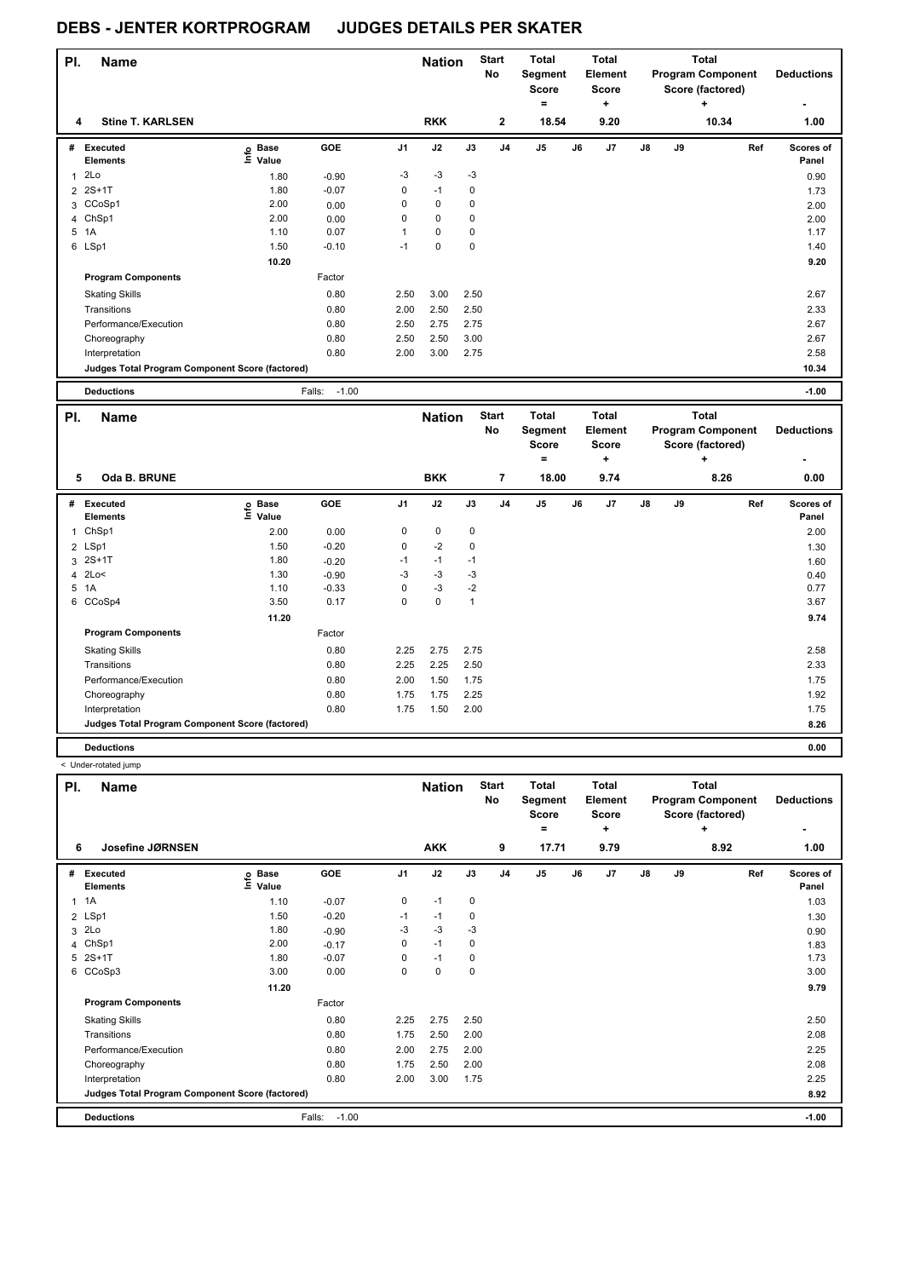| PI. | Name                                            |                              |                   |                | <b>Nation</b> |      | <b>Start</b><br>No | <b>Total</b><br>Segment<br><b>Score</b> |    | <b>Total</b><br>Element<br>Score |            |    | <b>Total</b><br><b>Program Component</b><br>Score (factored) | <b>Deductions</b>         |
|-----|-------------------------------------------------|------------------------------|-------------------|----------------|---------------|------|--------------------|-----------------------------------------|----|----------------------------------|------------|----|--------------------------------------------------------------|---------------------------|
|     |                                                 |                              |                   |                |               |      |                    | =                                       |    | ÷                                |            |    | ÷                                                            |                           |
|     | <b>Stine T. KARLSEN</b><br>4                    |                              |                   |                | <b>RKK</b>    |      | $\mathbf{2}$       | 18.54                                   |    | 9.20                             |            |    | 10.34                                                        | 1.00                      |
| #   | Executed<br><b>Elements</b>                     | <b>Base</b><br>lnfo<br>Value | <b>GOE</b>        | J <sub>1</sub> | J2            | J3   | J <sub>4</sub>     | J <sub>5</sub>                          | J6 | J <sub>7</sub>                   | ${\sf J8}$ | J9 | Ref                                                          | <b>Scores of</b><br>Panel |
|     | 2Lo                                             | 1.80                         | $-0.90$           | $-3$           | $-3$          | $-3$ |                    |                                         |    |                                  |            |    |                                                              | 0.90                      |
|     | 2 2S+1T                                         | 1.80                         | $-0.07$           | 0              | $-1$          | 0    |                    |                                         |    |                                  |            |    |                                                              | 1.73                      |
|     | 3 CCoSp1                                        | 2.00                         | 0.00              | 0              | $\mathbf 0$   | 0    |                    |                                         |    |                                  |            |    |                                                              | 2.00                      |
|     | 4 ChSp1                                         | 2.00                         | 0.00              | 0              | $\mathbf 0$   | 0    |                    |                                         |    |                                  |            |    |                                                              | 2.00                      |
| 5   | 1A                                              | 1.10                         | 0.07              | 1              | $\pmb{0}$     | 0    |                    |                                         |    |                                  |            |    |                                                              | 1.17                      |
|     | 6 LSp1                                          | 1.50                         | $-0.10$           | $-1$           | 0             | 0    |                    |                                         |    |                                  |            |    |                                                              | 1.40                      |
|     |                                                 | 10.20                        |                   |                |               |      |                    |                                         |    |                                  |            |    |                                                              | 9.20                      |
|     | <b>Program Components</b>                       |                              | Factor            |                |               |      |                    |                                         |    |                                  |            |    |                                                              |                           |
|     | <b>Skating Skills</b>                           |                              | 0.80              | 2.50           | 3.00          | 2.50 |                    |                                         |    |                                  |            |    |                                                              | 2.67                      |
|     | Transitions                                     |                              | 0.80              | 2.00           | 2.50          | 2.50 |                    |                                         |    |                                  |            |    |                                                              | 2.33                      |
|     | Performance/Execution                           |                              | 0.80              | 2.50           | 2.75          | 2.75 |                    |                                         |    |                                  |            |    |                                                              | 2.67                      |
|     | Choreography                                    |                              | 0.80              | 2.50           | 2.50          | 3.00 |                    |                                         |    |                                  |            |    |                                                              | 2.67                      |
|     | Interpretation                                  |                              | 0.80              | 2.00           | 3.00          | 2.75 |                    |                                         |    |                                  |            |    |                                                              | 2.58                      |
|     | Judges Total Program Component Score (factored) |                              |                   |                |               |      |                    |                                         |    |                                  |            |    |                                                              | 10.34                     |
|     | <b>Deductions</b>                               |                              | Falls:<br>$-1.00$ |                |               |      |                    |                                         |    |                                  |            |    |                                                              | $-1.00$                   |

| PI.          | <b>Name</b>                                     |                            |         |                | <b>Nation</b> |              | <b>Start</b><br>No | <b>Total</b><br>Segment<br><b>Score</b><br>۰ |    | <b>Total</b><br>Element<br>Score<br>٠ |               |    | <b>Total</b><br><b>Program Component</b><br>Score (factored)<br>$\ddot{}$ | <b>Deductions</b>  |
|--------------|-------------------------------------------------|----------------------------|---------|----------------|---------------|--------------|--------------------|----------------------------------------------|----|---------------------------------------|---------------|----|---------------------------------------------------------------------------|--------------------|
|              | Oda B. BRUNE<br>5                               |                            |         |                | <b>BKK</b>    |              | 7                  | 18.00                                        |    | 9.74                                  |               |    | 8.26                                                                      | 0.00               |
| #            | Executed<br><b>Elements</b>                     | <b>Base</b><br>۴۵<br>Value | GOE     | J <sub>1</sub> | J2            | J3           | J <sub>4</sub>     | J5                                           | J6 | J7                                    | $\mathsf{J}8$ | J9 | Ref                                                                       | Scores of<br>Panel |
| $\mathbf{1}$ | ChSp1                                           | 2.00                       | 0.00    | 0              | 0             | 0            |                    |                                              |    |                                       |               |    |                                                                           | 2.00               |
|              | 2 LSp1                                          | 1.50                       | $-0.20$ | 0              | $-2$          | $\mathbf 0$  |                    |                                              |    |                                       |               |    |                                                                           | 1.30               |
| 3            | $2S+1T$                                         | 1.80                       | $-0.20$ | $-1$           | $-1$          | $-1$         |                    |                                              |    |                                       |               |    |                                                                           | 1.60               |
|              | 4 2Lo<                                          | 1.30                       | $-0.90$ | -3             | $-3$          | -3           |                    |                                              |    |                                       |               |    |                                                                           | 0.40               |
|              | 5 1A                                            | 1.10                       | $-0.33$ | 0              | $-3$          | $-2$         |                    |                                              |    |                                       |               |    |                                                                           | 0.77               |
|              | 6 CCoSp4                                        | 3.50                       | 0.17    | 0              | 0             | $\mathbf{1}$ |                    |                                              |    |                                       |               |    |                                                                           | 3.67               |
|              |                                                 | 11.20                      |         |                |               |              |                    |                                              |    |                                       |               |    |                                                                           | 9.74               |
|              | <b>Program Components</b>                       |                            | Factor  |                |               |              |                    |                                              |    |                                       |               |    |                                                                           |                    |
|              | <b>Skating Skills</b>                           |                            | 0.80    | 2.25           | 2.75          | 2.75         |                    |                                              |    |                                       |               |    |                                                                           | 2.58               |
|              | Transitions                                     |                            | 0.80    | 2.25           | 2.25          | 2.50         |                    |                                              |    |                                       |               |    |                                                                           | 2.33               |
|              | Performance/Execution                           |                            | 0.80    | 2.00           | 1.50          | 1.75         |                    |                                              |    |                                       |               |    |                                                                           | 1.75               |
|              | Choreography                                    |                            | 0.80    | 1.75           | 1.75          | 2.25         |                    |                                              |    |                                       |               |    |                                                                           | 1.92               |
|              | Interpretation                                  |                            | 0.80    | 1.75           | 1.50          | 2.00         |                    |                                              |    |                                       |               |    |                                                                           | 1.75               |
|              | Judges Total Program Component Score (factored) |                            |         |                |               |              |                    |                                              |    |                                       |               |    |                                                                           | 8.26               |
|              | <b>Deductions</b>                               |                            |         |                |               |              |                    |                                              |    |                                       |               |    |                                                                           | 0.00               |

|              | < Under-rotated jump                            |                            |                   |                |                             |             |                         |                                                         |    |                                                      |    |    |                                                                           |                                |
|--------------|-------------------------------------------------|----------------------------|-------------------|----------------|-----------------------------|-------------|-------------------------|---------------------------------------------------------|----|------------------------------------------------------|----|----|---------------------------------------------------------------------------|--------------------------------|
| PI.<br>6     | <b>Name</b><br>Josefine JØRNSEN                 |                            |                   |                | <b>Nation</b><br><b>AKK</b> |             | <b>Start</b><br>No<br>9 | <b>Total</b><br>Segment<br><b>Score</b><br>$=$<br>17.71 |    | Total<br><b>Element</b><br><b>Score</b><br>٠<br>9.79 |    |    | <b>Total</b><br><b>Program Component</b><br>Score (factored)<br>٠<br>8.92 | <b>Deductions</b><br>٠<br>1.00 |
| #            | Executed<br><b>Elements</b>                     | 은 Base<br>- Value<br>Value | GOE               | J <sub>1</sub> | J2                          | J3          | J <sub>4</sub>          | J <sub>5</sub>                                          | J6 | J7                                                   | J8 | J9 | Ref                                                                       | Scores of<br>Panel             |
| $\mathbf{1}$ | 1A                                              | 1.10                       | $-0.07$           | 0              | $-1$                        | $\mathbf 0$ |                         |                                                         |    |                                                      |    |    |                                                                           | 1.03                           |
|              | 2 LSp1                                          | 1.50                       | $-0.20$           | $-1$           | $-1$                        | 0           |                         |                                                         |    |                                                      |    |    |                                                                           | 1.30                           |
| 3            | 2Lo                                             | 1.80                       | $-0.90$           | $-3$           | $-3$                        | $-3$        |                         |                                                         |    |                                                      |    |    |                                                                           | 0.90                           |
| 4            | ChSp1                                           | 2.00                       | $-0.17$           | 0              | $-1$                        | $\mathbf 0$ |                         |                                                         |    |                                                      |    |    |                                                                           | 1.83                           |
| 5            | $2S+1T$                                         | 1.80                       | $-0.07$           | 0              | $-1$                        | 0           |                         |                                                         |    |                                                      |    |    |                                                                           | 1.73                           |
|              | 6 CCoSp3                                        | 3.00                       | 0.00              | 0              | 0                           | $\mathbf 0$ |                         |                                                         |    |                                                      |    |    |                                                                           | 3.00                           |
|              |                                                 | 11.20                      |                   |                |                             |             |                         |                                                         |    |                                                      |    |    |                                                                           | 9.79                           |
|              | <b>Program Components</b>                       |                            | Factor            |                |                             |             |                         |                                                         |    |                                                      |    |    |                                                                           |                                |
|              | <b>Skating Skills</b>                           |                            | 0.80              | 2.25           | 2.75                        | 2.50        |                         |                                                         |    |                                                      |    |    |                                                                           | 2.50                           |
|              | Transitions                                     |                            | 0.80              | 1.75           | 2.50                        | 2.00        |                         |                                                         |    |                                                      |    |    |                                                                           | 2.08                           |
|              | Performance/Execution                           |                            | 0.80              | 2.00           | 2.75                        | 2.00        |                         |                                                         |    |                                                      |    |    |                                                                           | 2.25                           |
|              | Choreography                                    |                            | 0.80              | 1.75           | 2.50                        | 2.00        |                         |                                                         |    |                                                      |    |    |                                                                           | 2.08                           |
|              | Interpretation                                  |                            | 0.80              | 2.00           | 3.00                        | 1.75        |                         |                                                         |    |                                                      |    |    |                                                                           | 2.25                           |
|              | Judges Total Program Component Score (factored) |                            |                   |                |                             |             |                         |                                                         |    |                                                      |    |    |                                                                           | 8.92                           |
|              | <b>Deductions</b>                               |                            | $-1.00$<br>Falls: |                |                             |             |                         |                                                         |    |                                                      |    |    |                                                                           | $-1.00$                        |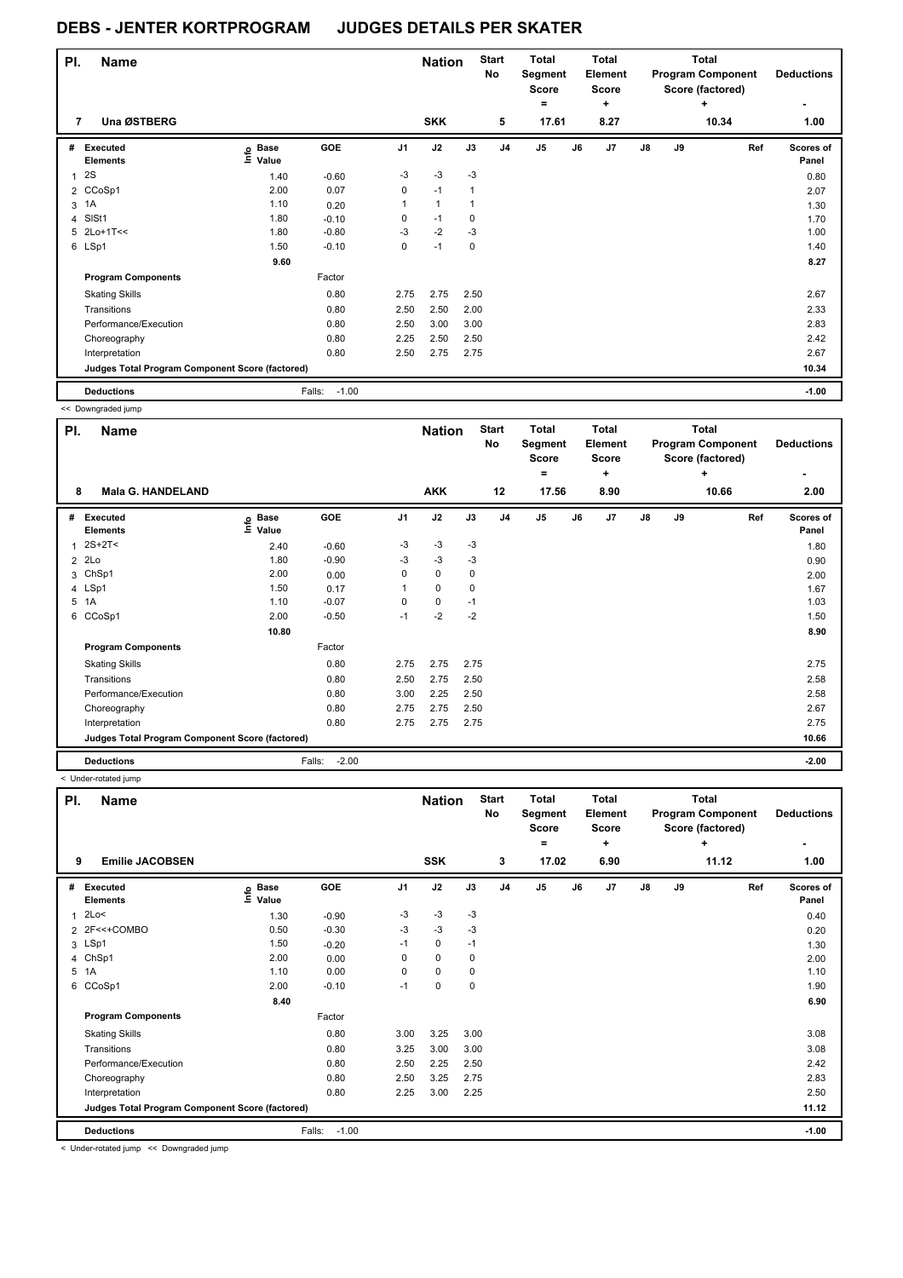| PI. | <b>Name</b>                                     |                   |                   |                | <b>Nation</b> |      | <b>Start</b><br>No | Total<br>Segment<br><b>Score</b> |    | <b>Total</b><br>Element<br>Score |               |    | Total<br><b>Program Component</b><br>Score (factored) | <b>Deductions</b>         |
|-----|-------------------------------------------------|-------------------|-------------------|----------------|---------------|------|--------------------|----------------------------------|----|----------------------------------|---------------|----|-------------------------------------------------------|---------------------------|
|     |                                                 |                   |                   |                |               |      |                    | $=$                              |    | ٠                                |               |    | ÷                                                     | ٠                         |
| 7   | Una ØSTBERG                                     |                   |                   |                | <b>SKK</b>    |      | 5                  | 17.61                            |    | 8.27                             |               |    | 10.34                                                 | 1.00                      |
| #   | Executed<br><b>Elements</b>                     | e Base<br>E Value | GOE               | J <sub>1</sub> | J2            | J3   | J <sub>4</sub>     | J <sub>5</sub>                   | J6 | J7                               | $\mathsf{J}8$ | J9 | Ref                                                   | <b>Scores of</b><br>Panel |
|     | 2S                                              | 1.40              | $-0.60$           | $-3$           | $-3$          | $-3$ |                    |                                  |    |                                  |               |    |                                                       | 0.80                      |
|     | 2 CCoSp1                                        | 2.00              | 0.07              | $\mathbf 0$    | $-1$          | 1    |                    |                                  |    |                                  |               |    |                                                       | 2.07                      |
| 3   | 1A                                              | 1.10              | 0.20              | 1              | 1             | 1    |                    |                                  |    |                                  |               |    |                                                       | 1.30                      |
|     | 4 SISt1                                         | 1.80              | $-0.10$           | 0              | $-1$          | 0    |                    |                                  |    |                                  |               |    |                                                       | 1.70                      |
|     | 5 2Lo+1T<<                                      | 1.80              | $-0.80$           | $-3$           | $-2$          | $-3$ |                    |                                  |    |                                  |               |    |                                                       | 1.00                      |
|     | 6 LSp1                                          | 1.50              | $-0.10$           | 0              | $-1$          | 0    |                    |                                  |    |                                  |               |    |                                                       | 1.40                      |
|     |                                                 | 9.60              |                   |                |               |      |                    |                                  |    |                                  |               |    |                                                       | 8.27                      |
|     | <b>Program Components</b>                       |                   | Factor            |                |               |      |                    |                                  |    |                                  |               |    |                                                       |                           |
|     | <b>Skating Skills</b>                           |                   | 0.80              | 2.75           | 2.75          | 2.50 |                    |                                  |    |                                  |               |    |                                                       | 2.67                      |
|     | Transitions                                     |                   | 0.80              | 2.50           | 2.50          | 2.00 |                    |                                  |    |                                  |               |    |                                                       | 2.33                      |
|     | Performance/Execution                           |                   | 0.80              | 2.50           | 3.00          | 3.00 |                    |                                  |    |                                  |               |    |                                                       | 2.83                      |
|     | Choreography                                    |                   | 0.80              | 2.25           | 2.50          | 2.50 |                    |                                  |    |                                  |               |    |                                                       | 2.42                      |
|     | Interpretation                                  |                   | 0.80              | 2.50           | 2.75          | 2.75 |                    |                                  |    |                                  |               |    |                                                       | 2.67                      |
|     | Judges Total Program Component Score (factored) |                   |                   |                |               |      |                    |                                  |    |                                  |               |    |                                                       | 10.34                     |
|     | <b>Deductions</b>                               |                   | $-1.00$<br>Falls: |                |               |      |                    |                                  |    |                                  |               |    |                                                       | $-1.00$                   |

<< Downgraded jump

| PI. | <b>Name</b>                                     |                            |                   |          | <b>Nation</b> |      | <b>Start</b><br>No | <b>Total</b><br>Segment<br><b>Score</b> |    | <b>Total</b><br>Element<br><b>Score</b> |    |    | Total<br><b>Program Component</b><br>Score (factored) | <b>Deductions</b>         |
|-----|-------------------------------------------------|----------------------------|-------------------|----------|---------------|------|--------------------|-----------------------------------------|----|-----------------------------------------|----|----|-------------------------------------------------------|---------------------------|
| 8   | <b>Mala G. HANDELAND</b>                        |                            |                   |          | <b>AKK</b>    |      | 12                 | $=$<br>17.56                            |    | ٠<br>8.90                               |    |    | ٠<br>10.66                                            | ٠<br>2.00                 |
| #   | <b>Executed</b><br><b>Elements</b>              | e Base<br>E Value<br>Value | GOE               | J1       | J2            | J3   | J <sub>4</sub>     | J <sub>5</sub>                          | J6 | J <sub>7</sub>                          | J8 | J9 | Ref                                                   | <b>Scores of</b><br>Panel |
| 1   | 2S+2T<                                          | 2.40                       | $-0.60$           | $-3$     | $-3$          | $-3$ |                    |                                         |    |                                         |    |    |                                                       | 1.80                      |
| 2   | 2Lo                                             | 1.80                       | $-0.90$           | $-3$     | $-3$          | $-3$ |                    |                                         |    |                                         |    |    |                                                       | 0.90                      |
| 3   | ChSp1                                           | 2.00                       | 0.00              | 0        | $\mathbf 0$   | 0    |                    |                                         |    |                                         |    |    |                                                       | 2.00                      |
|     | 4 LSp1                                          | 1.50                       | 0.17              |          | $\mathbf 0$   | 0    |                    |                                         |    |                                         |    |    |                                                       | 1.67                      |
|     | 5 1A                                            | 1.10                       | $-0.07$           | $\Omega$ | 0             | $-1$ |                    |                                         |    |                                         |    |    |                                                       | 1.03                      |
| 6   | CCoSp1                                          | 2.00                       | $-0.50$           | $-1$     | $-2$          | $-2$ |                    |                                         |    |                                         |    |    |                                                       | 1.50                      |
|     |                                                 | 10.80                      |                   |          |               |      |                    |                                         |    |                                         |    |    |                                                       | 8.90                      |
|     | <b>Program Components</b>                       |                            | Factor            |          |               |      |                    |                                         |    |                                         |    |    |                                                       |                           |
|     | <b>Skating Skills</b>                           |                            | 0.80              | 2.75     | 2.75          | 2.75 |                    |                                         |    |                                         |    |    |                                                       | 2.75                      |
|     | Transitions                                     |                            | 0.80              | 2.50     | 2.75          | 2.50 |                    |                                         |    |                                         |    |    |                                                       | 2.58                      |
|     | Performance/Execution                           |                            | 0.80              | 3.00     | 2.25          | 2.50 |                    |                                         |    |                                         |    |    |                                                       | 2.58                      |
|     | Choreography                                    |                            | 0.80              | 2.75     | 2.75          | 2.50 |                    |                                         |    |                                         |    |    |                                                       | 2.67                      |
|     | Interpretation                                  |                            | 0.80              | 2.75     | 2.75          | 2.75 |                    |                                         |    |                                         |    |    |                                                       | 2.75                      |
|     | Judges Total Program Component Score (factored) |                            |                   |          |               |      |                    |                                         |    |                                         |    |    |                                                       | 10.66                     |
|     | <b>Deductions</b>                               |                            | $-2.00$<br>Falls: |          |               |      |                    |                                         |    |                                         |    |    |                                                       | $-2.00$                   |

< Under-rotated jump

| PI. | <b>Name</b>                                     |                            |                   |                | <b>Nation</b> |      | <b>Start</b><br>No | <b>Total</b><br>Segment<br><b>Score</b><br>۰ |    | <b>Total</b><br>Element<br><b>Score</b><br>٠ |    |    | <b>Total</b><br><b>Program Component</b><br>Score (factored)<br>٠ | <b>Deductions</b>  |
|-----|-------------------------------------------------|----------------------------|-------------------|----------------|---------------|------|--------------------|----------------------------------------------|----|----------------------------------------------|----|----|-------------------------------------------------------------------|--------------------|
| 9   | <b>Emilie JACOBSEN</b>                          |                            |                   |                | <b>SSK</b>    |      | 3                  | 17.02                                        |    | 6.90                                         |    |    | 11.12                                                             | 1.00               |
| #   | Executed<br><b>Elements</b>                     | e Base<br>E Value<br>Value | GOE               | J <sub>1</sub> | J2            | J3   | J <sub>4</sub>     | J <sub>5</sub>                               | J6 | J <sub>7</sub>                               | J8 | J9 | Ref                                                               | Scores of<br>Panel |
| 1   | 2Lo<                                            | 1.30                       | $-0.90$           | $-3$           | $-3$          | $-3$ |                    |                                              |    |                                              |    |    |                                                                   | 0.40               |
|     | 2 2F<<+COMBO                                    | 0.50                       | $-0.30$           | $-3$           | $-3$          | $-3$ |                    |                                              |    |                                              |    |    |                                                                   | 0.20               |
|     | 3 LSp1                                          | 1.50                       | $-0.20$           | $-1$           | $\mathbf 0$   | $-1$ |                    |                                              |    |                                              |    |    |                                                                   | 1.30               |
|     | 4 ChSp1                                         | 2.00                       | 0.00              | 0              | $\mathbf 0$   | 0    |                    |                                              |    |                                              |    |    |                                                                   | 2.00               |
|     | 5 1A                                            | 1.10                       | 0.00              | $\Omega$       | $\mathbf 0$   | 0    |                    |                                              |    |                                              |    |    |                                                                   | 1.10               |
| 6   | CCoSp1                                          | 2.00                       | $-0.10$           | $-1$           | $\pmb{0}$     | 0    |                    |                                              |    |                                              |    |    |                                                                   | 1.90               |
|     |                                                 | 8.40                       |                   |                |               |      |                    |                                              |    |                                              |    |    |                                                                   | 6.90               |
|     | <b>Program Components</b>                       |                            | Factor            |                |               |      |                    |                                              |    |                                              |    |    |                                                                   |                    |
|     | <b>Skating Skills</b>                           |                            | 0.80              | 3.00           | 3.25          | 3.00 |                    |                                              |    |                                              |    |    |                                                                   | 3.08               |
|     | Transitions                                     |                            | 0.80              | 3.25           | 3.00          | 3.00 |                    |                                              |    |                                              |    |    |                                                                   | 3.08               |
|     | Performance/Execution                           |                            | 0.80              | 2.50           | 2.25          | 2.50 |                    |                                              |    |                                              |    |    |                                                                   | 2.42               |
|     | Choreography                                    |                            | 0.80              | 2.50           | 3.25          | 2.75 |                    |                                              |    |                                              |    |    |                                                                   | 2.83               |
|     | Interpretation                                  |                            | 0.80              | 2.25           | 3.00          | 2.25 |                    |                                              |    |                                              |    |    |                                                                   | 2.50               |
|     | Judges Total Program Component Score (factored) |                            |                   |                |               |      |                    |                                              |    |                                              |    |    |                                                                   | 11.12              |
|     | <b>Deductions</b>                               |                            | $-1.00$<br>Falls: |                |               |      |                    |                                              |    |                                              |    |    |                                                                   | $-1.00$            |

< Under-rotated jump << Downgraded jump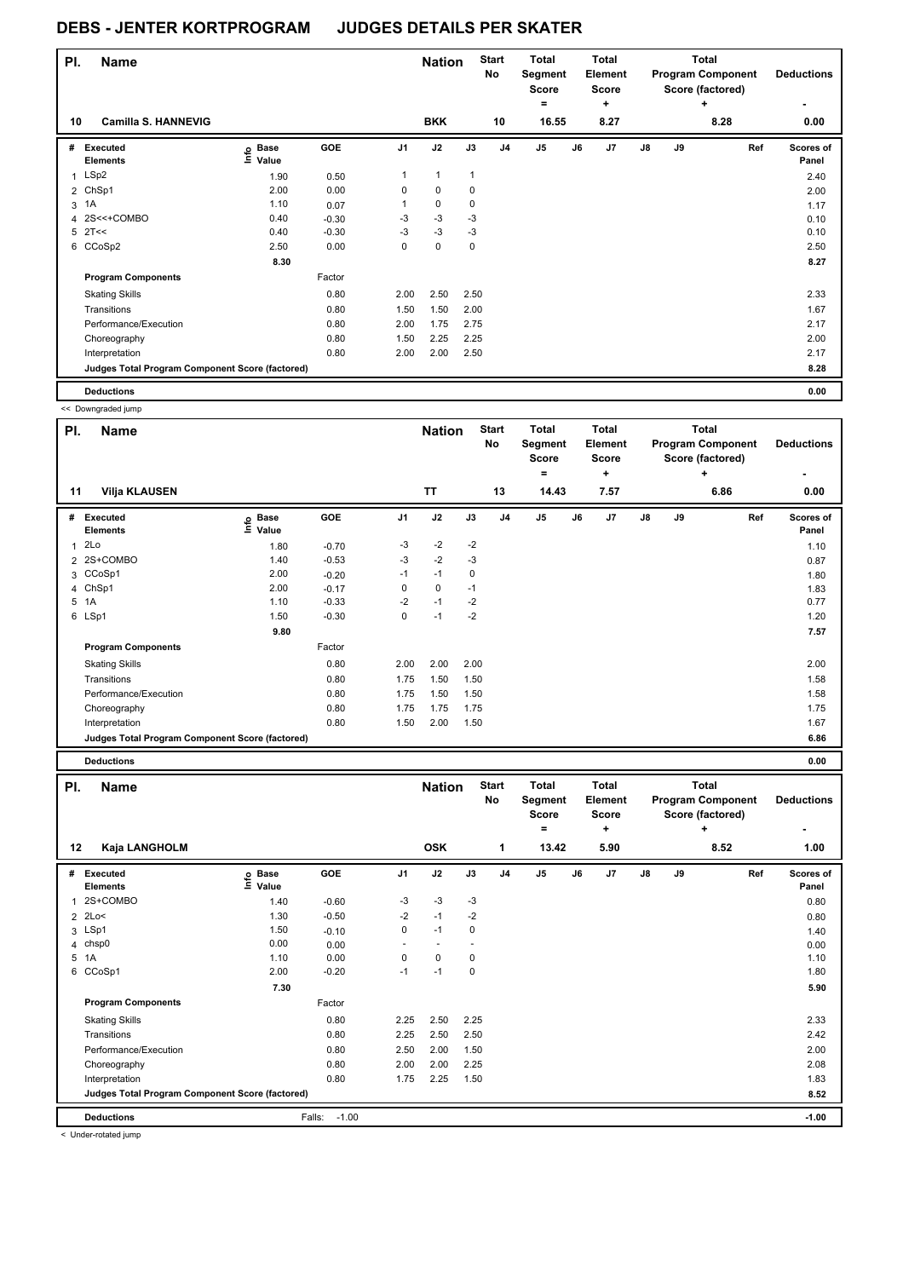| PI. | <b>Name</b>                                     |                            |         |                | <b>Nation</b> |             | <b>Start</b><br>No | <b>Total</b><br>Segment<br><b>Score</b> |    | <b>Total</b><br>Element<br><b>Score</b> |            |    | <b>Total</b><br><b>Program Component</b><br>Score (factored) | <b>Deductions</b>         |
|-----|-------------------------------------------------|----------------------------|---------|----------------|---------------|-------------|--------------------|-----------------------------------------|----|-----------------------------------------|------------|----|--------------------------------------------------------------|---------------------------|
|     |                                                 |                            |         |                |               |             |                    | $=$                                     |    | ٠                                       |            |    | ÷                                                            | ٠                         |
| 10  | <b>Camilla S. HANNEVIG</b>                      |                            |         |                | <b>BKK</b>    |             | 10                 | 16.55                                   |    | 8.27                                    |            |    | 8.28                                                         | 0.00                      |
| #   | <b>Executed</b><br><b>Elements</b>              | e Base<br>E Value<br>Value | GOE     | J <sub>1</sub> | J2            | J3          | J <sub>4</sub>     | J <sub>5</sub>                          | J6 | J7                                      | ${\sf J8}$ | J9 | Ref                                                          | <b>Scores of</b><br>Panel |
|     | 1 LSp2                                          | 1.90                       | 0.50    | 1              | $\mathbf{1}$  | 1           |                    |                                         |    |                                         |            |    |                                                              | 2.40                      |
|     | 2 ChSp1                                         | 2.00                       | 0.00    | 0              | 0             | 0           |                    |                                         |    |                                         |            |    |                                                              | 2.00                      |
| 3   | 1A                                              | 1.10                       | 0.07    | 1              | $\mathbf 0$   | 0           |                    |                                         |    |                                         |            |    |                                                              | 1.17                      |
| 4   | 2S<<+COMBO                                      | 0.40                       | $-0.30$ | $-3$           | $-3$          | $-3$        |                    |                                         |    |                                         |            |    |                                                              | 0.10                      |
| 5   | 2T<<                                            | 0.40                       | $-0.30$ | $-3$           | $-3$          | $-3$        |                    |                                         |    |                                         |            |    |                                                              | 0.10                      |
|     | 6 CCoSp2                                        | 2.50                       | 0.00    | 0              | $\mathbf 0$   | $\mathbf 0$ |                    |                                         |    |                                         |            |    |                                                              | 2.50                      |
|     |                                                 | 8.30                       |         |                |               |             |                    |                                         |    |                                         |            |    |                                                              | 8.27                      |
|     | <b>Program Components</b>                       |                            | Factor  |                |               |             |                    |                                         |    |                                         |            |    |                                                              |                           |
|     | <b>Skating Skills</b>                           |                            | 0.80    | 2.00           | 2.50          | 2.50        |                    |                                         |    |                                         |            |    |                                                              | 2.33                      |
|     | Transitions                                     |                            | 0.80    | 1.50           | 1.50          | 2.00        |                    |                                         |    |                                         |            |    |                                                              | 1.67                      |
|     | Performance/Execution                           |                            | 0.80    | 2.00           | 1.75          | 2.75        |                    |                                         |    |                                         |            |    |                                                              | 2.17                      |
|     | Choreography                                    |                            | 0.80    | 1.50           | 2.25          | 2.25        |                    |                                         |    |                                         |            |    |                                                              | 2.00                      |
|     | Interpretation                                  |                            | 0.80    | 2.00           | 2.00          | 2.50        |                    |                                         |    |                                         |            |    |                                                              | 2.17                      |
|     | Judges Total Program Component Score (factored) |                            |         |                |               |             |                    |                                         |    |                                         |            |    |                                                              | 8.28                      |
|     | <b>Deductions</b>                               |                            |         |                |               |             |                    |                                         |    |                                         |            |    |                                                              | 0.00                      |

<< Downgraded jump

| PI. | <b>Name</b>                                     |                            |         |                | <b>Nation</b> |      | <b>Start</b><br>No | <b>Total</b><br>Segment<br><b>Score</b><br>$\equiv$ |    | Total<br>Element<br><b>Score</b><br>÷ |    |    | <b>Total</b><br><b>Program Component</b><br>Score (factored)<br>÷ | <b>Deductions</b><br>٠ |
|-----|-------------------------------------------------|----------------------------|---------|----------------|---------------|------|--------------------|-----------------------------------------------------|----|---------------------------------------|----|----|-------------------------------------------------------------------|------------------------|
| 11  | <b>Vilja KLAUSEN</b>                            |                            |         |                | <b>TT</b>     |      | 13                 | 14.43                                               |    | 7.57                                  |    |    | 6.86                                                              | 0.00                   |
| #   | <b>Executed</b><br><b>Elements</b>              | e Base<br>E Value<br>Value | GOE     | J <sub>1</sub> | J2            | J3   | J <sub>4</sub>     | $\mathsf{J}5$                                       | J6 | J7                                    | J8 | J9 | Ref                                                               | Scores of<br>Panel     |
| 1   | 2Lo                                             | 1.80                       | $-0.70$ | -3             | $-2$          | $-2$ |                    |                                                     |    |                                       |    |    |                                                                   | 1.10                   |
|     | 2 2S+COMBO                                      | 1.40                       | $-0.53$ | $-3$           | $-2$          | $-3$ |                    |                                                     |    |                                       |    |    |                                                                   | 0.87                   |
|     | 3 CCoSp1                                        | 2.00                       | $-0.20$ | $-1$           | $-1$          | 0    |                    |                                                     |    |                                       |    |    |                                                                   | 1.80                   |
| 4   | ChSp1                                           | 2.00                       | $-0.17$ | 0              | 0             | $-1$ |                    |                                                     |    |                                       |    |    |                                                                   | 1.83                   |
| 5   | 1A                                              | 1.10                       | $-0.33$ | $-2$           | $-1$          | $-2$ |                    |                                                     |    |                                       |    |    |                                                                   | 0.77                   |
|     | 6 LSp1                                          | 1.50                       | $-0.30$ | 0              | $-1$          | $-2$ |                    |                                                     |    |                                       |    |    |                                                                   | 1.20                   |
|     |                                                 | 9.80                       |         |                |               |      |                    |                                                     |    |                                       |    |    |                                                                   | 7.57                   |
|     | <b>Program Components</b>                       |                            | Factor  |                |               |      |                    |                                                     |    |                                       |    |    |                                                                   |                        |
|     | <b>Skating Skills</b>                           |                            | 0.80    | 2.00           | 2.00          | 2.00 |                    |                                                     |    |                                       |    |    |                                                                   | 2.00                   |
|     | Transitions                                     |                            | 0.80    | 1.75           | 1.50          | 1.50 |                    |                                                     |    |                                       |    |    |                                                                   | 1.58                   |
|     | Performance/Execution                           |                            | 0.80    | 1.75           | 1.50          | 1.50 |                    |                                                     |    |                                       |    |    |                                                                   | 1.58                   |
|     | Choreography                                    |                            | 0.80    | 1.75           | 1.75          | 1.75 |                    |                                                     |    |                                       |    |    |                                                                   | 1.75                   |
|     | Interpretation                                  |                            | 0.80    | 1.50           | 2.00          | 1.50 |                    |                                                     |    |                                       |    |    |                                                                   | 1.67                   |
|     | Judges Total Program Component Score (factored) |                            |         |                |               |      |                    |                                                     |    |                                       |    |    |                                                                   | 6.86                   |
|     | <b>Deductions</b>                               |                            |         |                |               |      |                    |                                                     |    |                                       |    |    |                                                                   | 0.00                   |

| PI. | <b>Name</b>                                     |                            |                   |                | <b>Nation</b> |      | <b>Start</b><br>No | <b>Total</b><br>Segment<br><b>Score</b><br>۰ |    | <b>Total</b><br>Element<br><b>Score</b><br>÷ |    |    | <b>Total</b><br><b>Program Component</b><br>Score (factored)<br>٠ | <b>Deductions</b>  |
|-----|-------------------------------------------------|----------------------------|-------------------|----------------|---------------|------|--------------------|----------------------------------------------|----|----------------------------------------------|----|----|-------------------------------------------------------------------|--------------------|
| 12  | Kaja LANGHOLM                                   |                            |                   |                | <b>OSK</b>    |      | 1                  | 13.42                                        |    | 5.90                                         |    |    | 8.52                                                              | 1.00               |
| #   | Executed<br><b>Elements</b>                     | e Base<br>E Value<br>Value | <b>GOE</b>        | J <sub>1</sub> | J2            | J3   | J <sub>4</sub>     | J5                                           | J6 | J <sub>7</sub>                               | J8 | J9 | Ref                                                               | Scores of<br>Panel |
| 1   | 2S+COMBO                                        | 1.40                       | $-0.60$           | -3             | $-3$          | -3   |                    |                                              |    |                                              |    |    |                                                                   | 0.80               |
|     | $2$ 2Lo<                                        | 1.30                       | $-0.50$           | $-2$           | $-1$          | $-2$ |                    |                                              |    |                                              |    |    |                                                                   | 0.80               |
|     | 3 LSp1                                          | 1.50                       | $-0.10$           | 0              | $-1$          | 0    |                    |                                              |    |                                              |    |    |                                                                   | 1.40               |
|     | 4 chsp0                                         | 0.00                       | 0.00              | ٠              |               |      |                    |                                              |    |                                              |    |    |                                                                   | 0.00               |
|     | 5 1A                                            | 1.10                       | 0.00              | 0              | 0             | 0    |                    |                                              |    |                                              |    |    |                                                                   | 1.10               |
| 6   | CCoSp1                                          | 2.00                       | $-0.20$           | $-1$           | $-1$          | 0    |                    |                                              |    |                                              |    |    |                                                                   | 1.80               |
|     |                                                 | 7.30                       |                   |                |               |      |                    |                                              |    |                                              |    |    |                                                                   | 5.90               |
|     | <b>Program Components</b>                       |                            | Factor            |                |               |      |                    |                                              |    |                                              |    |    |                                                                   |                    |
|     | <b>Skating Skills</b>                           |                            | 0.80              | 2.25           | 2.50          | 2.25 |                    |                                              |    |                                              |    |    |                                                                   | 2.33               |
|     | Transitions                                     |                            | 0.80              | 2.25           | 2.50          | 2.50 |                    |                                              |    |                                              |    |    |                                                                   | 2.42               |
|     | Performance/Execution                           |                            | 0.80              | 2.50           | 2.00          | 1.50 |                    |                                              |    |                                              |    |    |                                                                   | 2.00               |
|     | Choreography                                    |                            | 0.80              | 2.00           | 2.00          | 2.25 |                    |                                              |    |                                              |    |    |                                                                   | 2.08               |
|     | Interpretation                                  |                            | 0.80              | 1.75           | 2.25          | 1.50 |                    |                                              |    |                                              |    |    |                                                                   | 1.83               |
|     | Judges Total Program Component Score (factored) |                            |                   |                |               |      |                    |                                              |    |                                              |    |    |                                                                   | 8.52               |
|     | <b>Deductions</b>                               |                            | $-1.00$<br>Falls: |                |               |      |                    |                                              |    |                                              |    |    |                                                                   | $-1.00$            |

< Under-rotated jump